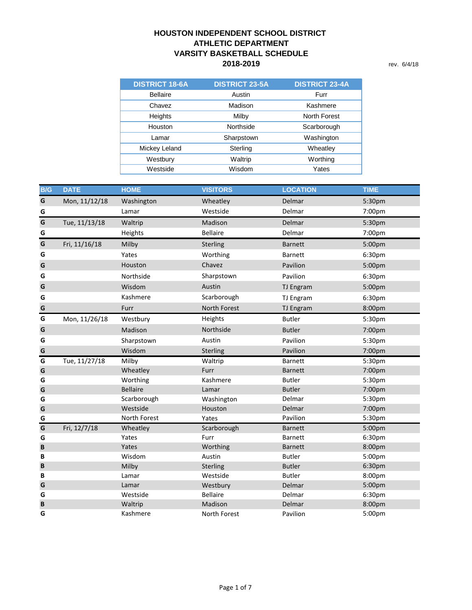## **2018-2019** rev. 6/4/18 **HOUSTON INDEPENDENT SCHOOL DISTRICT ATHLETIC DEPARTMENT VARSITY BASKETBALL SCHEDULE**

| <b>DISTRICT 18-6A</b> | <b>DISTRICT 23-5A</b> | <b>DISTRICT 23-4A</b> |
|-----------------------|-----------------------|-----------------------|
| <b>Bellaire</b>       | Austin                | Furr                  |
| Chavez                | Madison               | Kashmere              |
| Heights               | Milby                 | North Forest          |
| Houston               | Northside             | Scarborough           |
| Lamar                 | Sharpstown            | Washington            |
| Mickey Leland         | Sterling              | Wheatley              |
| Westbury              | Waltrip               | Worthing              |
| Westside              | Wisdom                | Yates                 |

| <b>B/G</b> | <b>DATE</b>   | <b>HOME</b>     | <b>VISITORS</b> | <b>LOCATION</b>  | <b>TIME</b> |
|------------|---------------|-----------------|-----------------|------------------|-------------|
| G          | Mon, 11/12/18 | Washington      | Wheatley        | Delmar           | 5:30pm      |
| G          |               | Lamar           | Westside        | Delmar           | 7:00pm      |
| G          | Tue, 11/13/18 | Waltrip         | Madison         | Delmar           | 5:30pm      |
| G          |               | Heights         | <b>Bellaire</b> | Delmar           | 7:00pm      |
| G          | Fri, 11/16/18 | Milby           | Sterling        | <b>Barnett</b>   | 5:00pm      |
| G          |               | Yates           | Worthing        | <b>Barnett</b>   | 6:30pm      |
| G          |               | Houston         | Chavez          | Pavilion         | 5:00pm      |
| G          |               | Northside       | Sharpstown      | Pavilion         | 6:30pm      |
| G          |               | Wisdom          | Austin          | TJ Engram        | 5:00pm      |
| G          |               | Kashmere        | Scarborough     | TJ Engram        | 6:30pm      |
| G          |               | Furr            | North Forest    | <b>TJ Engram</b> | 8:00pm      |
| G          | Mon, 11/26/18 | Westbury        | Heights         | <b>Butler</b>    | 5:30pm      |
| G          |               | Madison         | Northside       | <b>Butler</b>    | 7:00pm      |
| G          |               | Sharpstown      | Austin          | Pavilion         | 5:30pm      |
| G          |               | Wisdom          | Sterling        | Pavilion         | 7:00pm      |
| G          | Tue, 11/27/18 | Milby           | Waltrip         | <b>Barnett</b>   | 5:30pm      |
| G          |               | Wheatley        | Furr            | <b>Barnett</b>   | 7:00pm      |
| G          |               | Worthing        | Kashmere        | <b>Butler</b>    | 5:30pm      |
| G          |               | <b>Bellaire</b> | Lamar           | <b>Butler</b>    | 7:00pm      |
| G          |               | Scarborough     | Washington      | Delmar           | 5:30pm      |
| G          |               | Westside        | Houston         | Delmar           | 7:00pm      |
| G          |               | North Forest    | Yates           | Pavilion         | 5:30pm      |
| G          | Fri, 12/7/18  | Wheatley        | Scarborough     | <b>Barnett</b>   | 5:00pm      |
| G          |               | Yates           | Furr            | <b>Barnett</b>   | 6:30pm      |
| B          |               | Yates           | Worthing        | <b>Barnett</b>   | 8:00pm      |
| B          |               | Wisdom          | Austin          | <b>Butler</b>    | 5:00pm      |
| B          |               | Milby           | Sterling        | <b>Butler</b>    | 6:30pm      |
| B          |               | Lamar           | Westside        | <b>Butler</b>    | 8:00pm      |
| G          |               | Lamar           | Westbury        | Delmar           | 5:00pm      |
| G          |               | Westside        | <b>Bellaire</b> | Delmar           | 6:30pm      |
| B          |               | Waltrip         | Madison         | Delmar           | 8:00pm      |
| G          |               | Kashmere        | North Forest    | Pavilion         | 5:00pm      |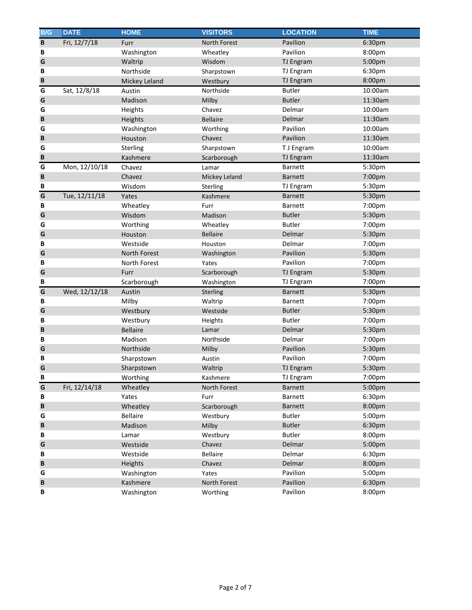| B/G          | <b>DATE</b>   | <b>HOME</b>     | <b>VISITORS</b> | <b>LOCATION</b>  | <b>TIME</b> |
|--------------|---------------|-----------------|-----------------|------------------|-------------|
| $\, {\bf B}$ | Fri, 12/7/18  | Furr            | North Forest    | Pavilion         | 6:30pm      |
| В            |               | Washington      | Wheatley        | Pavilion         | 8:00pm      |
| G            |               | Waltrip         | Wisdom          | TJ Engram        | 5:00pm      |
| B            |               | Northside       | Sharpstown      | TJ Engram        | 6:30pm      |
| B            |               | Mickey Leland   | Westbury        | <b>TJ Engram</b> | 8:00pm      |
| G            | Sat, 12/8/18  | Austin          | Northside       | <b>Butler</b>    | 10:00am     |
| G            |               | Madison         | Milby           | <b>Butler</b>    | 11:30am     |
| G            |               | Heights         | Chavez          | Delmar           | 10:00am     |
| B            |               | Heights         | <b>Bellaire</b> | Delmar           | 11:30am     |
| G            |               | Washington      | Worthing        | Pavilion         | 10:00am     |
| B            |               | Houston         | Chavez          | Pavilion         | 11:30am     |
| G            |               | Sterling        | Sharpstown      | T J Engram       | 10:00am     |
| B            |               | Kashmere        | Scarborough     | TJ Engram        | 11:30am     |
| G            | Mon, 12/10/18 | Chavez          | Lamar           | <b>Barnett</b>   | 5:30pm      |
| B            |               | Chavez          | Mickey Leland   | <b>Barnett</b>   | 7:00pm      |
| В            |               | Wisdom          | Sterling        | TJ Engram        | 5:30pm      |
| G            | Tue, 12/11/18 | Yates           | Kashmere        | <b>Barnett</b>   | 5:30pm      |
| В            |               | Wheatley        | Furr            | <b>Barnett</b>   | 7:00pm      |
| G            |               | Wisdom          | Madison         | <b>Butler</b>    | 5:30pm      |
| G            |               | Worthing        | Wheatley        | <b>Butler</b>    | 7:00pm      |
| G            |               | Houston         | <b>Bellaire</b> | Delmar           | 5:30pm      |
| В            |               | Westside        | Houston         | Delmar           | 7:00pm      |
| G            |               | North Forest    | Washington      | Pavilion         | 5:30pm      |
| В            |               | North Forest    | Yates           | Pavilion         | 7:00pm      |
| G            |               | Furr            | Scarborough     | TJ Engram        | 5:30pm      |
| В            |               | Scarborough     | Washington      | TJ Engram        | 7:00pm      |
| G            | Wed, 12/12/18 | Austin          | Sterling        | <b>Barnett</b>   | 5:30pm      |
| В            |               | Milby           | Waltrip         | <b>Barnett</b>   | 7:00pm      |
| G            |               | Westbury        | Westside        | <b>Butler</b>    | 5:30pm      |
| В            |               | Westbury        | Heights         | <b>Butler</b>    | 7:00pm      |
| B            |               | <b>Bellaire</b> | Lamar           | Delmar           | 5:30pm      |
| В            |               | Madison         | Northside       | Delmar           | 7:00pm      |
| G            |               | Northside       | Milby           | Pavilion         | 5:30pm      |
| B            |               | Sharpstown      | Austin          | Pavilion         | 7:00pm      |
| G            |               | Sharpstown      | Waltrip         | <b>TJ Engram</b> | 5:30pm      |
| B            |               | Worthing        | Kashmere        | TJ Engram        | 7:00pm      |
| G            | Fri, 12/14/18 | Wheatley        | North Forest    | <b>Barnett</b>   | 5:00pm      |
| В            |               | Yates           | Furr            | Barnett          | 6:30pm      |
| B            |               | Wheatley        | Scarborough     | Barnett          | 8:00pm      |
| G            |               | Bellaire        | Westbury        | <b>Butler</b>    | 5:00pm      |
| B            |               | Madison         | Milby           | <b>Butler</b>    | 6:30pm      |
| В            |               | Lamar           | Westbury        | <b>Butler</b>    | 8:00pm      |
| G            |               | Westside        | Chavez          | Delmar           | 5:00pm      |
| В            |               | Westside        | <b>Bellaire</b> | Delmar           | 6:30pm      |
| B            |               | Heights         | Chavez          | Delmar           | 8:00pm      |
| G            |               | Washington      | Yates           | Pavilion         | 5:00pm      |
| B            |               | Kashmere        | North Forest    | Pavilion         | 6:30pm      |
| В            |               | Washington      | Worthing        | Pavilion         | 8:00pm      |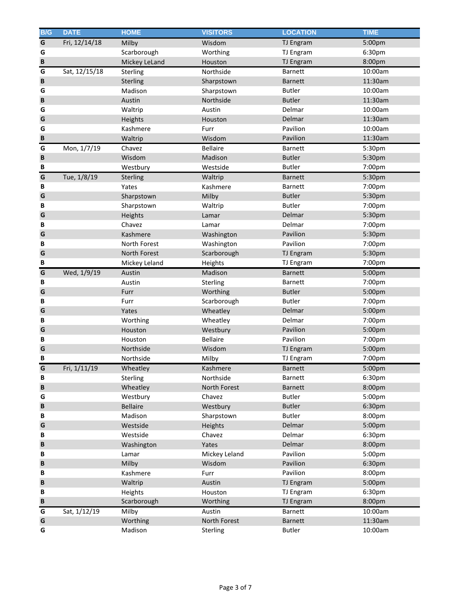| B/G          | <b>DATE</b>   | <b>HOME</b>     | <b>VISITORS</b> | <b>LOCATION</b>  | <b>TIME</b> |
|--------------|---------------|-----------------|-----------------|------------------|-------------|
| G            | Fri, 12/14/18 | Milby           | Wisdom          | TJ Engram        | 5:00pm      |
| G            |               | Scarborough     | Worthing        | TJ Engram        | 6:30pm      |
| $\, {\bf B}$ |               | Mickey LeLand   | Houston         | TJ Engram        | 8:00pm      |
| G            | Sat, 12/15/18 | Sterling        | Northside       | Barnett          | 10:00am     |
| B            |               | <b>Sterling</b> | Sharpstown      | <b>Barnett</b>   | 11:30am     |
| G            |               | Madison         | Sharpstown      | <b>Butler</b>    | 10:00am     |
| B            |               | Austin          | Northside       | <b>Butler</b>    | 11:30am     |
| G            |               | Waltrip         | Austin          | Delmar           | 10:00am     |
| G            |               | Heights         | Houston         | Delmar           | 11:30am     |
| G            |               | Kashmere        | Furr            | Pavilion         | 10:00am     |
| B            |               | Waltrip         | Wisdom          | Pavilion         | 11:30am     |
| G            | Mon, 1/7/19   | Chavez          | <b>Bellaire</b> | Barnett          | 5:30pm      |
| B            |               | Wisdom          | Madison         | <b>Butler</b>    | 5:30pm      |
| B            |               | Westbury        | Westside        | <b>Butler</b>    | 7:00pm      |
| G            | Tue, 1/8/19   | Sterling        | Waltrip         | <b>Barnett</b>   | 5:30pm      |
| B            |               | Yates           | Kashmere        | <b>Barnett</b>   | 7:00pm      |
| G            |               | Sharpstown      | Milby           | <b>Butler</b>    | 5:30pm      |
| B            |               | Sharpstown      | Waltrip         | <b>Butler</b>    | 7:00pm      |
| G            |               | Heights         | Lamar           | Delmar           | 5:30pm      |
| B            |               | Chavez          | Lamar           | Delmar           | 7:00pm      |
| G            |               | Kashmere        | Washington      | Pavilion         | 5:30pm      |
| В            |               | North Forest    | Washington      | Pavilion         | 7:00pm      |
| G            |               | North Forest    | Scarborough     | <b>TJ Engram</b> | 5:30pm      |
| B            |               | Mickey Leland   | Heights         | TJ Engram        | 7:00pm      |
| G            | Wed, 1/9/19   | Austin          | Madison         | <b>Barnett</b>   | 5:00pm      |
| B            |               | Austin          | Sterling        | <b>Barnett</b>   | 7:00pm      |
| G            |               | Furr            | Worthing        | <b>Butler</b>    | 5:00pm      |
| B            |               | Furr            | Scarborough     | <b>Butler</b>    | 7:00pm      |
| G            |               | Yates           | Wheatley        | Delmar           | 5:00pm      |
| В            |               | Worthing        | Wheatley        | Delmar           | 7:00pm      |
| G            |               | Houston         | Westbury        | Pavilion         | 5:00pm      |
| B            |               | Houston         | <b>Bellaire</b> | Pavilion         | 7:00pm      |
| G            |               | Northside       | Wisdom          | TJ Engram        | 5:00pm      |
| B            |               | Northside       | Milby           | TJ Engram        | 7:00pm      |
| G            | Fri, 1/11/19  | Wheatley        | Kashmere        | <b>Barnett</b>   | 5:00pm      |
| B            |               | Sterling        | Northside       | Barnett          | 6:30pm      |
| $\, {\bf B}$ |               | Wheatley        | North Forest    | <b>Barnett</b>   | 8:00pm      |
| G            |               | Westbury        | Chavez          | <b>Butler</b>    | 5:00pm      |
| B            |               | <b>Bellaire</b> | Westbury        | <b>Butler</b>    | 6:30pm      |
| B            |               | Madison         | Sharpstown      | <b>Butler</b>    | 8:00pm      |
| G            |               | Westside        | Heights         | Delmar           | 5:00pm      |
| B            |               | Westside        | Chavez          | Delmar           | 6:30pm      |
| B            |               | Washington      | Yates           | Delmar           | 8:00pm      |
| B            |               | Lamar           | Mickey Leland   | Pavilion         | 5:00pm      |
| B            |               | Milby           | Wisdom          | Pavilion         | 6:30pm      |
| B            |               | Kashmere        | Furr            | Pavilion         | 8:00pm      |
| B            |               | Waltrip         | Austin          | TJ Engram        | 5:00pm      |
| B            |               | Heights         | Houston         | <b>TJ Engram</b> | 6:30pm      |
| B            |               | Scarborough     | Worthing        | TJ Engram        | 8:00pm      |
| G            | Sat, 1/12/19  | Milby           | Austin          | Barnett          | 10:00am     |
| G            |               | Worthing        | North Forest    | <b>Barnett</b>   | 11:30am     |
| G            |               | Madison         | Sterling        | Butler           | 10:00am     |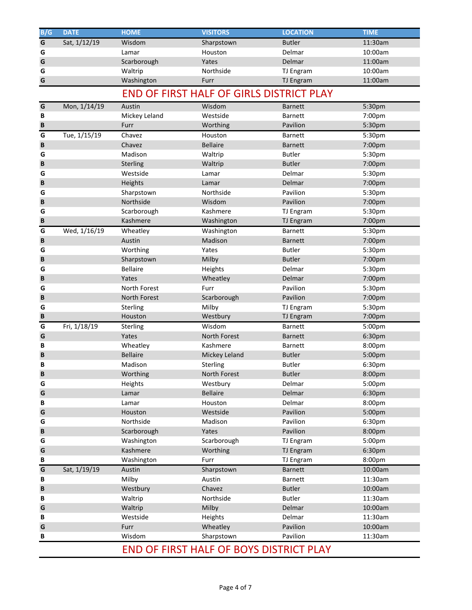| B/G | <b>DATE</b>  | <b>HOME</b>     | <b>VISITORS</b>                                 | <b>LOCATION</b>  | <b>TIME</b> |
|-----|--------------|-----------------|-------------------------------------------------|------------------|-------------|
| G   | Sat, 1/12/19 | Wisdom          | Sharpstown                                      | <b>Butler</b>    | 11:30am     |
| G   |              | Lamar           | Houston                                         | Delmar           | 10:00am     |
| G   |              | Scarborough     | Yates                                           | <b>Delmar</b>    | 11:00am     |
| G   |              | Waltrip         | Northside                                       | TJ Engram        | 10:00am     |
| G   |              | Washington      | Furr                                            | TJ Engram        | 11:00am     |
|     |              |                 | <b>END OF FIRST HALF OF GIRLS DISTRICT PLAY</b> |                  |             |
| G   | Mon, 1/14/19 | Austin          | Wisdom                                          | <b>Barnett</b>   | 5:30pm      |
| В   |              | Mickey Leland   | Westside                                        | <b>Barnett</b>   | 7:00pm      |
| B   |              | Furr            | Worthing                                        | Pavilion         | 5:30pm      |
| G   | Tue, 1/15/19 | Chavez          | Houston                                         | Barnett          | 5:30pm      |
| B   |              | Chavez          | <b>Bellaire</b>                                 | <b>Barnett</b>   | 7:00pm      |
| G   |              | Madison         | Waltrip                                         | <b>Butler</b>    | 5:30pm      |
| B   |              | <b>Sterling</b> | Waltrip                                         | <b>Butler</b>    | 7:00pm      |
| G   |              | Westside        | Lamar                                           | Delmar           | 5:30pm      |
| B   |              | Heights         | Lamar                                           | Delmar           | 7:00pm      |
| G   |              | Sharpstown      | Northside                                       | Pavilion         | 5:30pm      |
| B   |              | Northside       | Wisdom                                          | Pavilion         | 7:00pm      |
| G   |              | Scarborough     | Kashmere                                        | <b>TJ Engram</b> | 5:30pm      |
| B   |              | Kashmere        | Washington                                      | <b>TJ Engram</b> | 7:00pm      |
| G   | Wed, 1/16/19 | Wheatley        | Washington                                      | Barnett          | 5:30pm      |
| B   |              | Austin          | Madison                                         | <b>Barnett</b>   | 7:00pm      |
| G   |              | Worthing        | Yates                                           | <b>Butler</b>    | 5:30pm      |
| B   |              | Sharpstown      | Milby                                           | <b>Butler</b>    | 7:00pm      |
| G   |              | <b>Bellaire</b> | Heights                                         | Delmar           | 5:30pm      |
| B   |              | Yates           | Wheatley                                        | Delmar           | 7:00pm      |
| G   |              | North Forest    | Furr                                            | Pavilion         | 5:30pm      |
| B   |              | North Forest    | Scarborough                                     | Pavilion         | 7:00pm      |
| G   |              | Sterling        | Milby                                           | TJ Engram        | 5:30pm      |
| B   |              | Houston         | Westbury                                        | <b>TJ Engram</b> | 7:00pm      |
| G   | Fri, 1/18/19 | Sterling        | Wisdom                                          | Barnett          | 5:00pm      |
| G   |              | Yates           | <b>North Forest</b>                             | <b>Barnett</b>   | 6:30pm      |
| B   |              | Wheatley        | Kashmere                                        | <b>Barnett</b>   | 8:00pm      |
| B   |              | <b>Bellaire</b> | Mickey Leland                                   | <b>Butler</b>    | 5:00pm      |
| B   |              | Madison         | Sterling                                        | <b>Butler</b>    | 6:30pm      |
| B   |              | Worthing        | North Forest                                    | <b>Butler</b>    | 8:00pm      |
| G   |              | Heights         | Westbury                                        | Delmar           | 5:00pm      |
| G   |              | Lamar           | <b>Bellaire</b>                                 | Delmar           | 6:30pm      |
| B   |              | Lamar           | Houston                                         | Delmar           | 8:00pm      |
| G   |              | Houston         | Westside                                        | Pavilion         | 5:00pm      |
| G   |              | Northside       | Madison                                         | Pavilion         | 6:30pm      |
| B   |              | Scarborough     | Yates                                           | Pavilion         | 8:00pm      |
| G   |              | Washington      | Scarborough                                     | TJ Engram        | 5:00pm      |
| G   |              | Kashmere        | Worthing                                        | TJ Engram        | 6:30pm      |
| В   |              | Washington      | Furr                                            | TJ Engram        | 8:00pm      |
| G   | Sat, 1/19/19 | Austin          | Sharpstown                                      | <b>Barnett</b>   | 10:00am     |
| В   |              | Milby           | Austin                                          | Barnett          | 11:30am     |
| B   |              | Westbury        | Chavez                                          | <b>Butler</b>    | 10:00am     |
| B   |              | Waltrip         | Northside                                       | <b>Butler</b>    | 11:30am     |
| G   |              | Waltrip         | Milby                                           | Delmar           | 10:00am     |
| B   |              | Westside        | Heights                                         | Delmar           | 11:30am     |
| G   |              | Furr            | Wheatley                                        | Pavilion         | 10:00am     |
| В   |              | Wisdom          | Sharpstown                                      | Pavilion         | 11:30am     |
|     |              |                 | <b>END OF FIRST HALF OF BOYS DISTRICT PLAY</b>  |                  |             |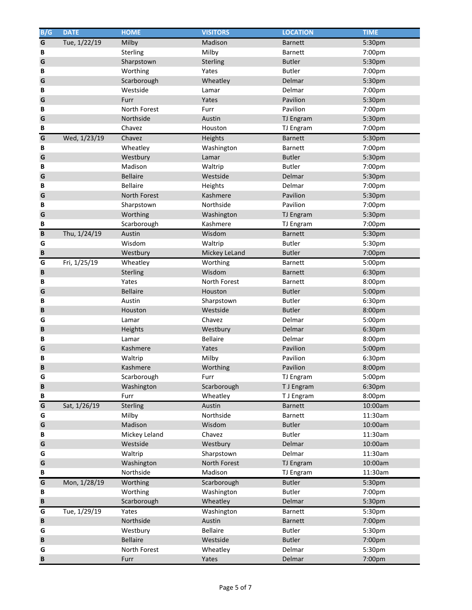| B/G         | <b>DATE</b>  | <b>HOME</b>     | <b>VISITORS</b> | <b>LOCATION</b> | <b>TIME</b> |
|-------------|--------------|-----------------|-----------------|-----------------|-------------|
| G           | Tue, 1/22/19 | Milby           | Madison         | <b>Barnett</b>  | 5:30pm      |
| В           |              | Sterling        | Milby           | Barnett         | 7:00pm      |
| G           |              | Sharpstown      | Sterling        | <b>Butler</b>   | 5:30pm      |
| B           |              | Worthing        | Yates           | <b>Butler</b>   | 7:00pm      |
| G           |              | Scarborough     | Wheatley        | Delmar          | 5:30pm      |
| B           |              | Westside        | Lamar           | Delmar          | 7:00pm      |
| G           |              | Furr            | Yates           | Pavilion        | 5:30pm      |
| B           |              | North Forest    | Furr            | Pavilion        | 7:00pm      |
| G           |              | Northside       | Austin          | TJ Engram       | 5:30pm      |
| B           |              | Chavez          | Houston         | TJ Engram       | 7:00pm      |
| G           | Wed, 1/23/19 | Chavez          | Heights         | <b>Barnett</b>  | 5:30pm      |
| В           |              | Wheatley        | Washington      | Barnett         | 7:00pm      |
| G           |              | Westbury        | Lamar           | <b>Butler</b>   | 5:30pm      |
| B           |              | Madison         | Waltrip         | <b>Butler</b>   | 7:00pm      |
| G           |              | <b>Bellaire</b> | Westside        | Delmar          | 5:30pm      |
| В           |              | Bellaire        | Heights         | Delmar          | 7:00pm      |
| G           |              | North Forest    | Kashmere        | Pavilion        | 5:30pm      |
| B           |              | Sharpstown      | Northside       | Pavilion        | 7:00pm      |
| G           |              | Worthing        | Washington      | TJ Engram       | 5:30pm      |
| B           |              | Scarborough     | Kashmere        | TJ Engram       | 7:00pm      |
| $\mathbf B$ | Thu, 1/24/19 | Austin          | Wisdom          | <b>Barnett</b>  | 5:30pm      |
| G           |              | Wisdom          | Waltrip         | <b>Butler</b>   | 5:30pm      |
| B           |              | Westbury        | Mickey LeLand   | <b>Butler</b>   | 7:00pm      |
| G           | Fri, 1/25/19 | Wheatley        | Worthing        | Barnett         | 5:00pm      |
| B           |              | Sterling        | Wisdom          | <b>Barnett</b>  | 6:30pm      |
| B           |              | Yates           | North Forest    | Barnett         | 8:00pm      |
| G           |              | <b>Bellaire</b> | Houston         | <b>Butler</b>   | 5:00pm      |
| B           |              | Austin          | Sharpstown      | <b>Butler</b>   | 6:30pm      |
| B           |              | Houston         | Westside        | <b>Butler</b>   | 8:00pm      |
| G           |              | Lamar           | Chavez          | Delmar          | 5:00pm      |
| B           |              | Heights         | Westbury        | Delmar          | 6:30pm      |
| B           |              | Lamar           | <b>Bellaire</b> | Delmar          | 8:00pm      |
| G           |              | Kashmere        | Yates           | Pavilion        | 5:00pm      |
| B           |              | Waltrip         | Milby           | Pavilion        | 6:30pm      |
| B           |              | Kashmere        | Worthing        | Pavilion        | 8:00pm      |
| G           |              | Scarborough     | Furr            | TJ Engram       | 5:00pm      |
| B           |              | Washington      | Scarborough     | T J Engram      | 6:30pm      |
| B           |              | Furr            | Wheatley        | T J Engram      | 8:00pm      |
| G           | Sat, 1/26/19 | Sterling        | Austin          | <b>Barnett</b>  | 10:00am     |
| G           |              | Milby           | Northside       | <b>Barnett</b>  | 11:30am     |
| G           |              | Madison         | Wisdom          | <b>Butler</b>   | 10:00am     |
| B           |              | Mickey Leland   | Chavez          | <b>Butler</b>   | 11:30am     |
| G           |              | Westside        | Westbury        | Delmar          | 10:00am     |
| G           |              | Waltrip         | Sharpstown      | Delmar          | 11:30am     |
| G           |              | Washington      | North Forest    | TJ Engram       | 10:00am     |
| B           |              | Northside       | Madison         | TJ Engram       | 11:30am     |
| G           | Mon, 1/28/19 | Worthing        | Scarborough     | <b>Butler</b>   | 5:30pm      |
| В           |              | Worthing        | Washington      | <b>Butler</b>   | 7:00pm      |
| B           |              | Scarborough     | Wheatley        | Delmar          | 5:30pm      |
| G           | Tue, 1/29/19 | Yates           | Washington      | Barnett         | 5:30pm      |
| B           |              | Northside       | Austin          | <b>Barnett</b>  | 7:00pm      |
| G           |              | Westbury        | Bellaire        | <b>Butler</b>   | 5:30pm      |
| B           |              | <b>Bellaire</b> | Westside        | <b>Butler</b>   | 7:00pm      |
| G           |              | North Forest    | Wheatley        | Delmar          | 5:30pm      |
| B           |              | Furr            | Yates           | Delmar          | 7:00pm      |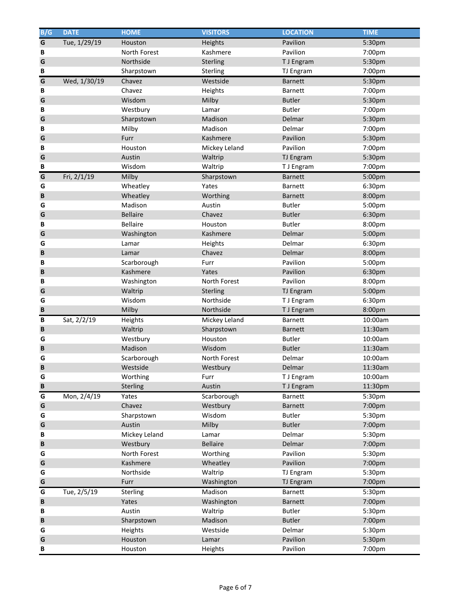| B/G | <b>DATE</b>  | <b>HOME</b>     | <b>VISITORS</b> | <b>LOCATION</b> | <b>TIME</b> |
|-----|--------------|-----------------|-----------------|-----------------|-------------|
| G   | Tue, 1/29/19 | Houston         | Heights         | Pavilion        | 5:30pm      |
| В   |              | North Forest    | Kashmere        | Pavilion        | 7:00pm      |
| G   |              | Northside       | Sterling        | T J Engram      | 5:30pm      |
| В   |              | Sharpstown      | Sterling        | TJ Engram       | 7:00pm      |
| G   | Wed, 1/30/19 | Chavez          | Westside        | <b>Barnett</b>  | 5:30pm      |
| В   |              | Chavez          | Heights         | <b>Barnett</b>  | 7:00pm      |
| G   |              | Wisdom          | Milby           | <b>Butler</b>   | 5:30pm      |
| В   |              | Westbury        | Lamar           | <b>Butler</b>   | 7:00pm      |
| G   |              | Sharpstown      | Madison         | Delmar          | 5:30pm      |
| B   |              | Milby           | Madison         | Delmar          | 7:00pm      |
| G   |              | Furr            | Kashmere        | Pavilion        | 5:30pm      |
| B   |              | Houston         | Mickey Leland   | Pavilion        | 7:00pm      |
| G   |              | Austin          | Waltrip         | TJ Engram       | 5:30pm      |
| B   |              | Wisdom          | Waltrip         | T J Engram      | 7:00pm      |
| G   | Fri, 2/1/19  | Milby           | Sharpstown      | <b>Barnett</b>  | 5:00pm      |
| G   |              | Wheatley        | Yates           | <b>Barnett</b>  | 6:30pm      |
| B   |              | Wheatley        | Worthing        | <b>Barnett</b>  | 8:00pm      |
| G   |              | Madison         | Austin          | <b>Butler</b>   | 5:00pm      |
| G   |              | <b>Bellaire</b> | Chavez          | <b>Butler</b>   | 6:30pm      |
| B   |              | <b>Bellaire</b> | Houston         | <b>Butler</b>   | 8:00pm      |
| G   |              | Washington      | Kashmere        | Delmar          | 5:00pm      |
| G   |              | Lamar           | Heights         | Delmar          | 6:30pm      |
| B   |              | Lamar           | Chavez          | <b>Delmar</b>   | 8:00pm      |
| B   |              | Scarborough     | Furr            | Pavilion        | 5:00pm      |
| B   |              | Kashmere        | Yates           | Pavilion        | 6:30pm      |
| B   |              | Washington      | North Forest    | Pavilion        | 8:00pm      |
| G   |              | Waltrip         | Sterling        | TJ Engram       | 5:00pm      |
| G   |              | Wisdom          | Northside       | T J Engram      | 6:30pm      |
| B   |              | Milby           | Northside       | T J Engram      | 8:00pm      |
| В   | Sat, 2/2/19  | Heights         | Mickey Leland   | Barnett         | 10:00am     |
| B   |              | Waltrip         | Sharpstown      | <b>Barnett</b>  | 11:30am     |
| G   |              | Westbury        | Houston         | <b>Butler</b>   | 10:00am     |
| B   |              | Madison         | Wisdom          | <b>Butler</b>   | 11:30am     |
| G   |              | Scarborough     | North Forest    | Delmar          | 10:00am     |
| B   |              | Westside        | Westbury        | Delmar          | 11:30am     |
| G   |              | Worthing        | Furr            | T J Engram      | 10:00am     |
| B   |              | Sterling        | Austin          | T J Engram      | 11:30pm     |
| G   | Mon, 2/4/19  | Yates           | Scarborough     | Barnett         | 5:30pm      |
| G   |              | Chavez          | Westbury        | Barnett         | 7:00pm      |
| G   |              | Sharpstown      | Wisdom          | <b>Butler</b>   | 5:30pm      |
| G   |              | Austin          | Milby           | <b>Butler</b>   | 7:00pm      |
| B   |              | Mickey Leland   | Lamar           | Delmar          | 5:30pm      |
| B   |              | Westbury        | <b>Bellaire</b> | Delmar          | 7:00pm      |
| G   |              | North Forest    | Worthing        | Pavilion        | 5:30pm      |
| G   |              | Kashmere        | Wheatley        | Pavilion        | 7:00pm      |
| G   |              | Northside       | Waltrip         | TJ Engram       | 5:30pm      |
| G   |              | Furr            | Washington      | TJ Engram       | 7:00pm      |
| G   | Tue, 2/5/19  | Sterling        | Madison         | Barnett         | 5:30pm      |
| B   |              | Yates           | Washington      | <b>Barnett</b>  | 7:00pm      |
| B   |              | Austin          | Waltrip         | <b>Butler</b>   | 5:30pm      |
| B   |              | Sharpstown      | Madison         | <b>Butler</b>   | 7:00pm      |
| G   |              | Heights         | Westside        | Delmar          | 5:30pm      |
| G   |              | Houston         | Lamar           | Pavilion        | 5:30pm      |
| В   |              | Houston         | Heights         | Pavilion        | 7:00pm      |